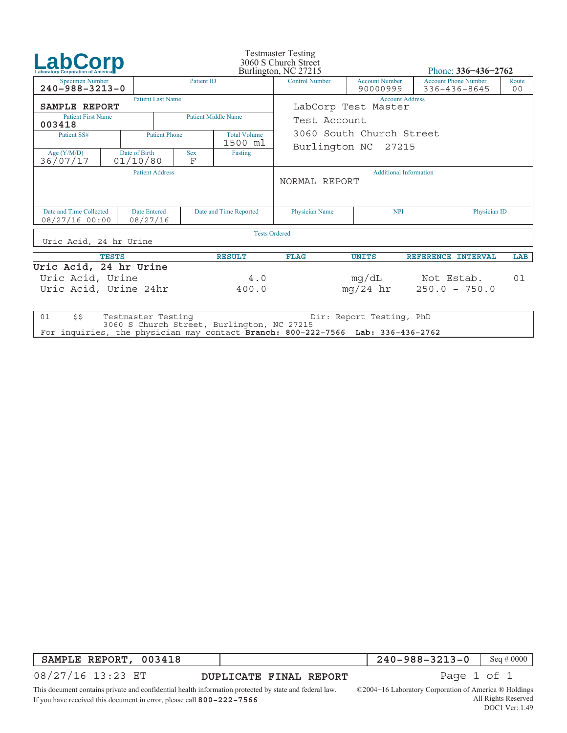| <b>LabCorp</b><br><b>Laboratory Corporation of America</b>                   |                           |                          |                                | <b>Testmaster Testing</b><br>3060 S Church Street<br>Burlington, NC 27215 |                                                |                                   | Phone: $336 - 436 - 2762$           |                                             |                         |  |
|------------------------------------------------------------------------------|---------------------------|--------------------------|--------------------------------|---------------------------------------------------------------------------|------------------------------------------------|-----------------------------------|-------------------------------------|---------------------------------------------|-------------------------|--|
| <b>Specimen Number</b><br>$240 - 988 - 3213 - 0$                             |                           |                          | <b>Patient ID</b>              |                                                                           | <b>Control Number</b>                          | <b>Account Number</b><br>90000999 |                                     | <b>Account Phone Number</b><br>336-436-8645 | Route<br>0 <sub>0</sub> |  |
| SAMPLE REPORT                                                                |                           | <b>Patient Last Name</b> |                                |                                                                           | <b>Account Address</b><br>LabCorp Test Master  |                                   |                                     |                                             |                         |  |
| <b>Patient First Name</b><br>003418                                          |                           |                          | <b>Patient Middle Name</b>     |                                                                           | Test Account                                   |                                   |                                     |                                             |                         |  |
| Patient SS#                                                                  |                           | <b>Patient Phone</b>     | <b>Total Volume</b><br>1500 ml |                                                                           | 3060 South Church Street                       |                                   |                                     |                                             |                         |  |
| Age $(Y/M/D)$<br>36/07/17                                                    | Date of Birth<br>01/10/80 |                          | <b>Sex</b><br>F                | Fasting                                                                   | Burlington NC 27215                            |                                   |                                     |                                             |                         |  |
|                                                                              |                           | <b>Patient Address</b>   |                                |                                                                           | <b>Additional Information</b><br>NORMAL REPORT |                                   |                                     |                                             |                         |  |
| Date and Time Collected<br><b>Date Entered</b><br>08/27/16 00:00<br>08/27/16 |                           |                          | Date and Time Reported         |                                                                           | Physician Name                                 | <b>NPI</b>                        |                                     | Physician ID                                |                         |  |
| Uric Acid, 24 hr Urine                                                       |                           |                          |                                | <b>Tests Ordered</b>                                                      |                                                |                                   |                                     |                                             |                         |  |
|                                                                              |                           |                          | <b>RESULT</b>                  | <b>FLAG</b>                                                               | <b>UNITS</b>                                   | REFERENCE INTERVAL                |                                     | LAB                                         |                         |  |
| Uric Acid, 24 hr Urine<br>Uric Acid, Urine<br>Uric Acid, Urine 24hr          |                           |                          | 4.0<br>400.0                   |                                                                           |                                                | $mq/24$ hr                        | mg/dL Not Estab.<br>$250.0 - 750.0$ |                                             | 01                      |  |
| \$\$<br>01                                                                   |                           | Testmaster Testing       |                                | 3060 S Church Street Burlington NC 27215                                  |                                                | Dir: Report Testing, PhD          |                                     |                                             |                         |  |

3060 S Church Street, Burlington, NC 27215 For inquiries, the physician may contact **Branch: 800−222−7566 Lab: 336−436−2762**

## **SAMPLE REPORT, 003418**

08/27/16 13:23 ET

**DUPLICATE FINAL REPORT FINAL Page 1 of 1** 

**240−988−3213−0** Seq # 0000

This document contains private and confidential health information protected by state and federal law.

©2004−16 Laboratory Corporation of America ® Holdings All Rights Reserved

If you have received this document in error, please call **800−222−7566**